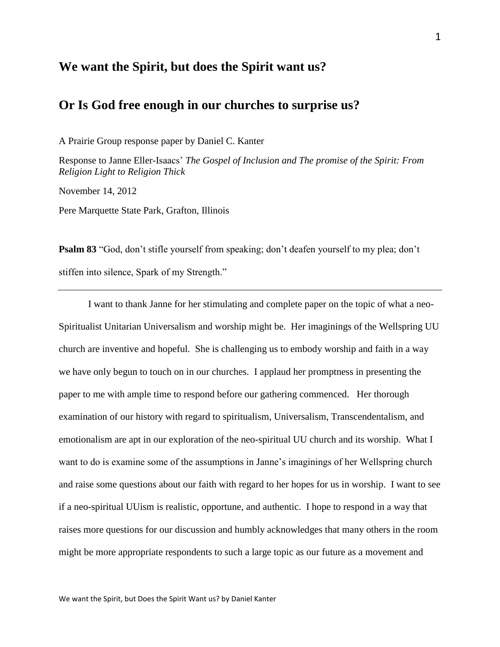## **We want the Spirit, but does the Spirit want us?**

# **Or Is God free enough in our churches to surprise us?**

A Prairie Group response paper by Daniel C. Kanter

Response to Janne Eller-Isaacs' *The Gospel of Inclusion and The promise of the Spirit: From Religion Light to Religion Thick* 

November 14, 2012

Pere Marquette State Park, Grafton, Illinois

**Psalm 83** "God, don't stifle yourself from speaking; don't deafen yourself to my plea; don't stiffen into silence, Spark of my Strength."

I want to thank Janne for her stimulating and complete paper on the topic of what a neo-Spiritualist Unitarian Universalism and worship might be. Her imaginings of the Wellspring UU church are inventive and hopeful. She is challenging us to embody worship and faith in a way we have only begun to touch on in our churches. I applaud her promptness in presenting the paper to me with ample time to respond before our gathering commenced. Her thorough examination of our history with regard to spiritualism, Universalism, Transcendentalism, and emotionalism are apt in our exploration of the neo-spiritual UU church and its worship. What I want to do is examine some of the assumptions in Janne's imaginings of her Wellspring church and raise some questions about our faith with regard to her hopes for us in worship. I want to see if a neo-spiritual UUism is realistic, opportune, and authentic. I hope to respond in a way that raises more questions for our discussion and humbly acknowledges that many others in the room might be more appropriate respondents to such a large topic as our future as a movement and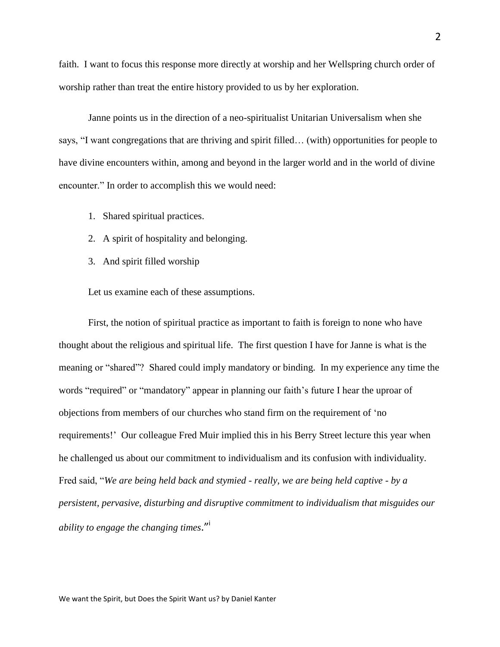faith. I want to focus this response more directly at worship and her Wellspring church order of worship rather than treat the entire history provided to us by her exploration.

Janne points us in the direction of a neo-spiritualist Unitarian Universalism when she says, "I want congregations that are thriving and spirit filled… (with) opportunities for people to have divine encounters within, among and beyond in the larger world and in the world of divine encounter." In order to accomplish this we would need:

- 1. Shared spiritual practices.
- 2. A spirit of hospitality and belonging.
- 3. And spirit filled worship

Let us examine each of these assumptions.

First, the notion of spiritual practice as important to faith is foreign to none who have thought about the religious and spiritual life. The first question I have for Janne is what is the meaning or "shared"? Shared could imply mandatory or binding. In my experience any time the words "required" or "mandatory" appear in planning our faith's future I hear the uproar of objections from members of our churches who stand firm on the requirement of 'no requirements!' Our colleague Fred Muir implied this in his Berry Street lecture this year when he challenged us about our commitment to individualism and its confusion with individuality. Fred said, "*We are being held back and stymied - really, we are being held captive - by a persistent, pervasive, disturbing and disruptive commitment to individualism that misguides our ability to engage the changing times*." i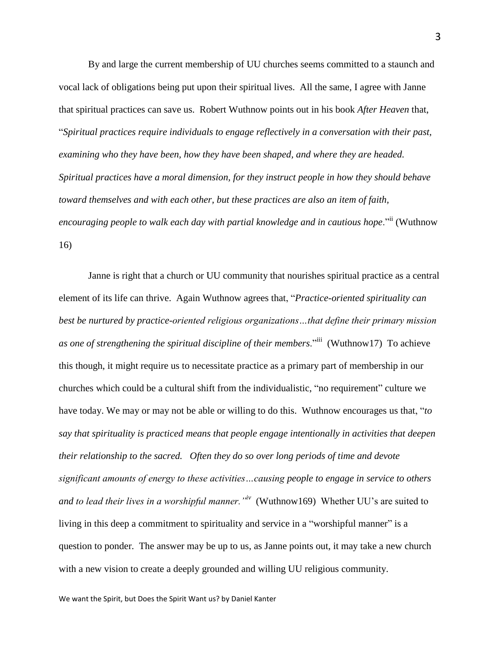By and large the current membership of UU churches seems committed to a staunch and vocal lack of obligations being put upon their spiritual lives. All the same, I agree with Janne that spiritual practices can save us. Robert Wuthnow points out in his book *After Heaven* that, "*Spiritual practices require individuals to engage reflectively in a conversation with their past, examining who they have been, how they have been shaped, and where they are headed. Spiritual practices have a moral dimension, for they instruct people in how they should behave toward themselves and with each other, but these practices are also an item of faith, encouraging people to walk each day with partial knowledge and in cautious hope*."ii (Wuthnow 16)

Janne is right that a church or UU community that nourishes spiritual practice as a central element of its life can thrive. Again Wuthnow agrees that, "*Practice-oriented spirituality can best be nurtured by practice-oriented religious organizations…that define their primary mission as one of strengthening the spiritual discipline of their members*."iii (Wuthnow17) To achieve this though, it might require us to necessitate practice as a primary part of membership in our churches which could be a cultural shift from the individualistic, "no requirement" culture we have today. We may or may not be able or willing to do this. Wuthnow encourages us that, "*to say that spirituality is practiced means that people engage intentionally in activities that deepen their relationship to the sacred. Often they do so over long periods of time and devote significant amounts of energy to these activities…causing people to engage in service to others and to lead their lives in a worshipful manner."iv* (Wuthnow169) Whether UU's are suited to living in this deep a commitment to spirituality and service in a "worshipful manner" is a question to ponder. The answer may be up to us, as Janne points out, it may take a new church with a new vision to create a deeply grounded and willing UU religious community.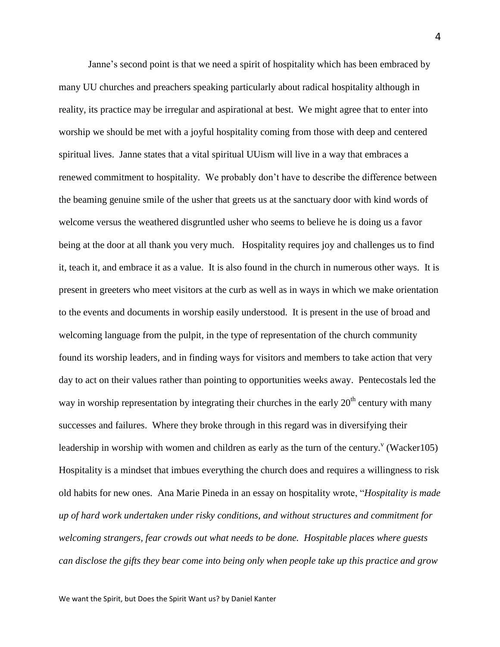Janne's second point is that we need a spirit of hospitality which has been embraced by many UU churches and preachers speaking particularly about radical hospitality although in reality, its practice may be irregular and aspirational at best. We might agree that to enter into worship we should be met with a joyful hospitality coming from those with deep and centered spiritual lives. Janne states that a vital spiritual UUism will live in a way that embraces a renewed commitment to hospitality. We probably don't have to describe the difference between the beaming genuine smile of the usher that greets us at the sanctuary door with kind words of welcome versus the weathered disgruntled usher who seems to believe he is doing us a favor being at the door at all thank you very much. Hospitality requires joy and challenges us to find it, teach it, and embrace it as a value. It is also found in the church in numerous other ways. It is present in greeters who meet visitors at the curb as well as in ways in which we make orientation to the events and documents in worship easily understood. It is present in the use of broad and welcoming language from the pulpit, in the type of representation of the church community found its worship leaders, and in finding ways for visitors and members to take action that very day to act on their values rather than pointing to opportunities weeks away. Pentecostals led the way in worship representation by integrating their churches in the early  $20<sup>th</sup>$  century with many successes and failures. Where they broke through in this regard was in diversifying their leadership in worship with women and children as early as the turn of the century.<sup> $v$ </sup> (Wacker105) Hospitality is a mindset that imbues everything the church does and requires a willingness to risk old habits for new ones. Ana Marie Pineda in an essay on hospitality wrote, "*Hospitality is made up of hard work undertaken under risky conditions, and without structures and commitment for welcoming strangers, fear crowds out what needs to be done. Hospitable places where guests can disclose the gifts they bear come into being only when people take up this practice and grow*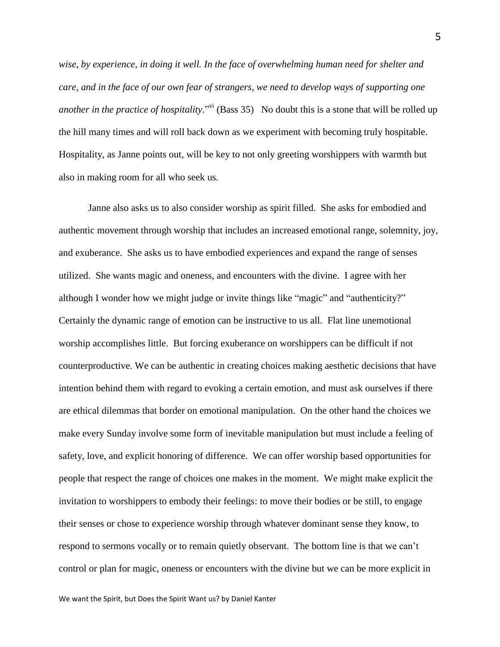*wise, by experience, in doing it well. In the face of overwhelming human need for shelter and care, and in the face of our own fear of strangers, we need to develop ways of supporting one*  another in the practice of hospitality."<sup>vi</sup> (Bass 35) No doubt this is a stone that will be rolled up the hill many times and will roll back down as we experiment with becoming truly hospitable. Hospitality, as Janne points out, will be key to not only greeting worshippers with warmth but also in making room for all who seek us.

Janne also asks us to also consider worship as spirit filled. She asks for embodied and authentic movement through worship that includes an increased emotional range, solemnity, joy, and exuberance. She asks us to have embodied experiences and expand the range of senses utilized. She wants magic and oneness, and encounters with the divine. I agree with her although I wonder how we might judge or invite things like "magic" and "authenticity?" Certainly the dynamic range of emotion can be instructive to us all. Flat line unemotional worship accomplishes little. But forcing exuberance on worshippers can be difficult if not counterproductive. We can be authentic in creating choices making aesthetic decisions that have intention behind them with regard to evoking a certain emotion, and must ask ourselves if there are ethical dilemmas that border on emotional manipulation. On the other hand the choices we make every Sunday involve some form of inevitable manipulation but must include a feeling of safety, love, and explicit honoring of difference. We can offer worship based opportunities for people that respect the range of choices one makes in the moment. We might make explicit the invitation to worshippers to embody their feelings: to move their bodies or be still, to engage their senses or chose to experience worship through whatever dominant sense they know, to respond to sermons vocally or to remain quietly observant. The bottom line is that we can't control or plan for magic, oneness or encounters with the divine but we can be more explicit in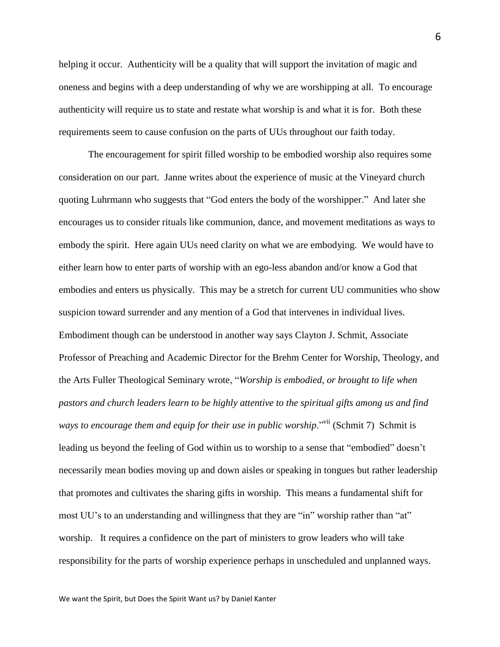helping it occur. Authenticity will be a quality that will support the invitation of magic and oneness and begins with a deep understanding of why we are worshipping at all. To encourage authenticity will require us to state and restate what worship is and what it is for. Both these requirements seem to cause confusion on the parts of UUs throughout our faith today.

The encouragement for spirit filled worship to be embodied worship also requires some consideration on our part. Janne writes about the experience of music at the Vineyard church quoting Luhrmann who suggests that "God enters the body of the worshipper." And later she encourages us to consider rituals like communion, dance, and movement meditations as ways to embody the spirit. Here again UUs need clarity on what we are embodying. We would have to either learn how to enter parts of worship with an ego-less abandon and/or know a God that embodies and enters us physically. This may be a stretch for current UU communities who show suspicion toward surrender and any mention of a God that intervenes in individual lives. Embodiment though can be understood in another way says Clayton J. Schmit, Associate Professor of Preaching and Academic Director for the Brehm Center for Worship, Theology, and the Arts Fuller Theological Seminary wrote, "*Worship is embodied, or brought to life when pastors and church leaders learn to be highly attentive to the spiritual gifts among us and find ways to encourage them and equip for their use in public worship*."<sup>vii</sup> (Schmit 7) Schmit is leading us beyond the feeling of God within us to worship to a sense that "embodied" doesn't necessarily mean bodies moving up and down aisles or speaking in tongues but rather leadership that promotes and cultivates the sharing gifts in worship. This means a fundamental shift for most UU's to an understanding and willingness that they are "in" worship rather than "at" worship. It requires a confidence on the part of ministers to grow leaders who will take responsibility for the parts of worship experience perhaps in unscheduled and unplanned ways.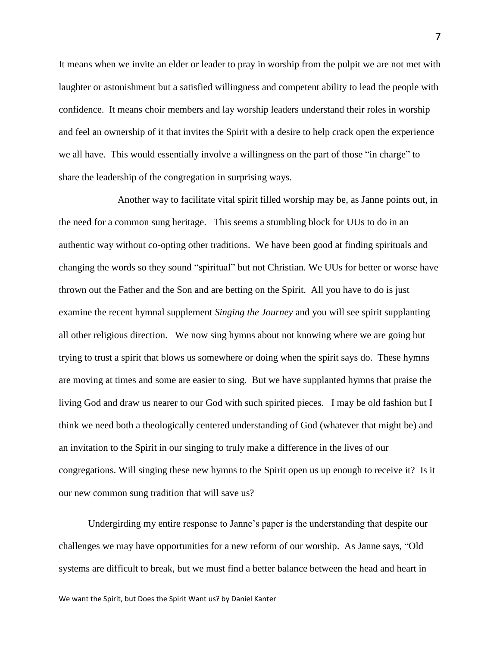It means when we invite an elder or leader to pray in worship from the pulpit we are not met with laughter or astonishment but a satisfied willingness and competent ability to lead the people with confidence. It means choir members and lay worship leaders understand their roles in worship and feel an ownership of it that invites the Spirit with a desire to help crack open the experience we all have. This would essentially involve a willingness on the part of those "in charge" to share the leadership of the congregation in surprising ways.

Another way to facilitate vital spirit filled worship may be, as Janne points out, in the need for a common sung heritage. This seems a stumbling block for UUs to do in an authentic way without co-opting other traditions. We have been good at finding spirituals and changing the words so they sound "spiritual" but not Christian. We UUs for better or worse have thrown out the Father and the Son and are betting on the Spirit. All you have to do is just examine the recent hymnal supplement *Singing the Journey* and you will see spirit supplanting all other religious direction. We now sing hymns about not knowing where we are going but trying to trust a spirit that blows us somewhere or doing when the spirit says do. These hymns are moving at times and some are easier to sing. But we have supplanted hymns that praise the living God and draw us nearer to our God with such spirited pieces. I may be old fashion but I think we need both a theologically centered understanding of God (whatever that might be) and an invitation to the Spirit in our singing to truly make a difference in the lives of our congregations. Will singing these new hymns to the Spirit open us up enough to receive it? Is it our new common sung tradition that will save us?

Undergirding my entire response to Janne's paper is the understanding that despite our challenges we may have opportunities for a new reform of our worship. As Janne says, "Old systems are difficult to break, but we must find a better balance between the head and heart in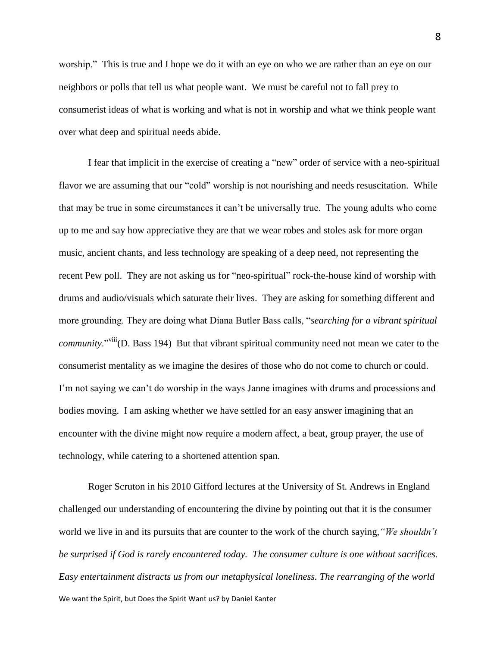worship." This is true and I hope we do it with an eye on who we are rather than an eye on our neighbors or polls that tell us what people want. We must be careful not to fall prey to consumerist ideas of what is working and what is not in worship and what we think people want over what deep and spiritual needs abide.

I fear that implicit in the exercise of creating a "new" order of service with a neo-spiritual flavor we are assuming that our "cold" worship is not nourishing and needs resuscitation. While that may be true in some circumstances it can't be universally true. The young adults who come up to me and say how appreciative they are that we wear robes and stoles ask for more organ music, ancient chants, and less technology are speaking of a deep need, not representing the recent Pew poll. They are not asking us for "neo-spiritual" rock-the-house kind of worship with drums and audio/visuals which saturate their lives. They are asking for something different and more grounding. They are doing what Diana Butler Bass calls, "*searching for a vibrant spiritual community*."<sup>viii</sup>(D. Bass 194) But that vibrant spiritual community need not mean we cater to the consumerist mentality as we imagine the desires of those who do not come to church or could. I'm not saying we can't do worship in the ways Janne imagines with drums and processions and bodies moving. I am asking whether we have settled for an easy answer imagining that an encounter with the divine might now require a modern affect, a beat, group prayer, the use of technology, while catering to a shortened attention span.

We want the Spirit, but Does the Spirit Want us? by Daniel Kanter Roger Scruton in his 2010 Gifford lectures at the University of St. Andrews in England challenged our understanding of encountering the divine by pointing out that it is the consumer world we live in and its pursuits that are counter to the work of the church saying,*"We shouldn't be surprised if God is rarely encountered today. The consumer culture is one without sacrifices. Easy entertainment distracts us from our metaphysical loneliness. The rearranging of the world*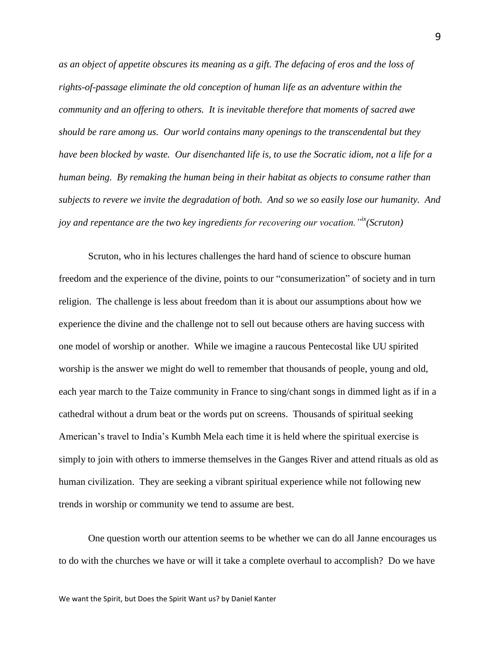*as an object of appetite obscures its meaning as a gift. The defacing of eros and the loss of rights-of-passage eliminate the old conception of human life as an adventure within the community and an offering to others. It is inevitable therefore that moments of sacred awe should be rare among us. Our world contains many openings to the transcendental but they have been blocked by waste. Our disenchanted life is, to use the Socratic idiom, not a life for a human being. By remaking the human being in their habitat as objects to consume rather than subjects to revere we invite the degradation of both. And so we so easily lose our humanity. And joy and repentance are the two key ingredients for recovering our vocation."ix(Scruton)*

Scruton, who in his lectures challenges the hard hand of science to obscure human freedom and the experience of the divine, points to our "consumerization" of society and in turn religion. The challenge is less about freedom than it is about our assumptions about how we experience the divine and the challenge not to sell out because others are having success with one model of worship or another. While we imagine a raucous Pentecostal like UU spirited worship is the answer we might do well to remember that thousands of people, young and old, each year march to the Taize community in France to sing/chant songs in dimmed light as if in a cathedral without a drum beat or the words put on screens. Thousands of spiritual seeking American's travel to India's Kumbh Mela each time it is held where the spiritual exercise is simply to join with others to immerse themselves in the Ganges River and attend rituals as old as human civilization. They are seeking a vibrant spiritual experience while not following new trends in worship or community we tend to assume are best.

One question worth our attention seems to be whether we can do all Janne encourages us to do with the churches we have or will it take a complete overhaul to accomplish? Do we have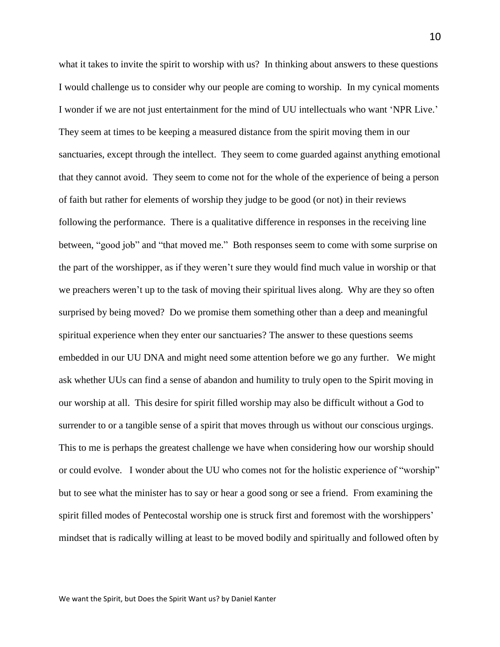what it takes to invite the spirit to worship with us? In thinking about answers to these questions I would challenge us to consider why our people are coming to worship. In my cynical moments I wonder if we are not just entertainment for the mind of UU intellectuals who want 'NPR Live.' They seem at times to be keeping a measured distance from the spirit moving them in our sanctuaries, except through the intellect. They seem to come guarded against anything emotional that they cannot avoid. They seem to come not for the whole of the experience of being a person of faith but rather for elements of worship they judge to be good (or not) in their reviews following the performance. There is a qualitative difference in responses in the receiving line between, "good job" and "that moved me." Both responses seem to come with some surprise on the part of the worshipper, as if they weren't sure they would find much value in worship or that we preachers weren't up to the task of moving their spiritual lives along. Why are they so often surprised by being moved? Do we promise them something other than a deep and meaningful spiritual experience when they enter our sanctuaries? The answer to these questions seems embedded in our UU DNA and might need some attention before we go any further. We might ask whether UUs can find a sense of abandon and humility to truly open to the Spirit moving in our worship at all. This desire for spirit filled worship may also be difficult without a God to surrender to or a tangible sense of a spirit that moves through us without our conscious urgings. This to me is perhaps the greatest challenge we have when considering how our worship should or could evolve. I wonder about the UU who comes not for the holistic experience of "worship" but to see what the minister has to say or hear a good song or see a friend. From examining the spirit filled modes of Pentecostal worship one is struck first and foremost with the worshippers' mindset that is radically willing at least to be moved bodily and spiritually and followed often by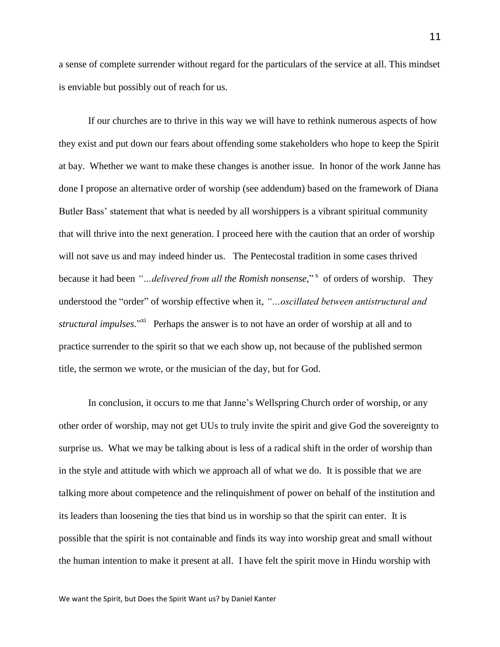a sense of complete surrender without regard for the particulars of the service at all. This mindset is enviable but possibly out of reach for us.

If our churches are to thrive in this way we will have to rethink numerous aspects of how they exist and put down our fears about offending some stakeholders who hope to keep the Spirit at bay. Whether we want to make these changes is another issue. In honor of the work Janne has done I propose an alternative order of worship (see addendum) based on the framework of Diana Butler Bass' statement that what is needed by all worshippers is a vibrant spiritual community that will thrive into the next generation. I proceed here with the caution that an order of worship will not save us and may indeed hinder us. The Pentecostal tradition in some cases thrived because it had been "...delivered from all the Romish nonsense,"<sup>x</sup> of orders of worship. They understood the "order" of worship effective when it, *"…oscillated between antistructural and*  structural impulses.<sup>"Xi</sup> Perhaps the answer is to not have an order of worship at all and to practice surrender to the spirit so that we each show up, not because of the published sermon title, the sermon we wrote, or the musician of the day, but for God.

In conclusion, it occurs to me that Janne's Wellspring Church order of worship, or any other order of worship, may not get UUs to truly invite the spirit and give God the sovereignty to surprise us. What we may be talking about is less of a radical shift in the order of worship than in the style and attitude with which we approach all of what we do. It is possible that we are talking more about competence and the relinquishment of power on behalf of the institution and its leaders than loosening the ties that bind us in worship so that the spirit can enter. It is possible that the spirit is not containable and finds its way into worship great and small without the human intention to make it present at all. I have felt the spirit move in Hindu worship with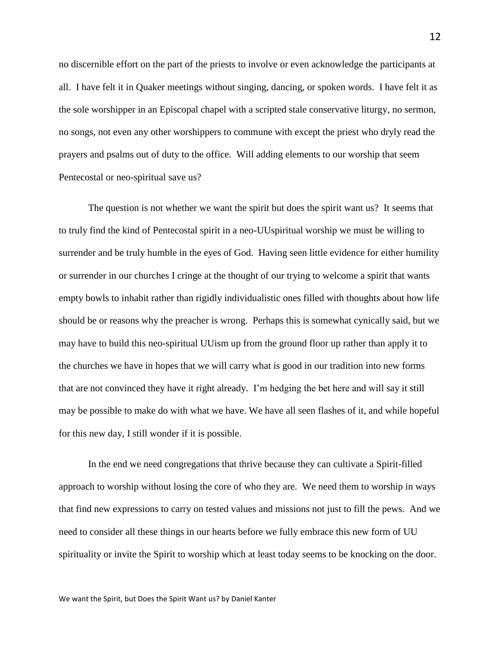no discernible effort on the part of the priests to involve or even acknowledge the participants at all. I have felt it in Quaker meetings without singing, dancing, or spoken words. I have felt it as the sole worshipper in an Episcopal chapel with a scripted stale conservative liturgy, no sermon, no songs, not even any other worshippers to commune with except the priest who dryly read the prayers and psalms out of duty to the office. Will adding elements to our worship that seem Pentecostal or neo-spiritual save us?

The question is not whether we want the spirit but does the spirit want us? It seems that to truly find the kind of Pentecostal spirit in a neo-UUspiritual worship we must be willing to surrender and be truly humble in the eyes of God. Having seen little evidence for either humility or surrender in our churches I cringe at the thought of our trying to welcome a spirit that wants empty bowls to inhabit rather than rigidly individualistic ones filled with thoughts about how life should be or reasons why the preacher is wrong. Perhaps this is somewhat cynically said, but we may have to build this neo-spiritual UUism up from the ground floor up rather than apply it to the churches we have in hopes that we will carry what is good in our tradition into new forms that are not convinced they have it right already. I'm hedging the bet here and will say it still may be possible to make do with what we have. We have all seen flashes of it, and while hopeful for this new day, I still wonder if it is possible.

In the end we need congregations that thrive because they can cultivate a Spirit-filled approach to worship without losing the core of who they are. We need them to worship in ways that find new expressions to carry on tested values and missions not just to fill the pews. And we need to consider all these things in our hearts before we fully embrace this new form of UU spirituality or invite the Spirit to worship which at least today seems to be knocking on the door.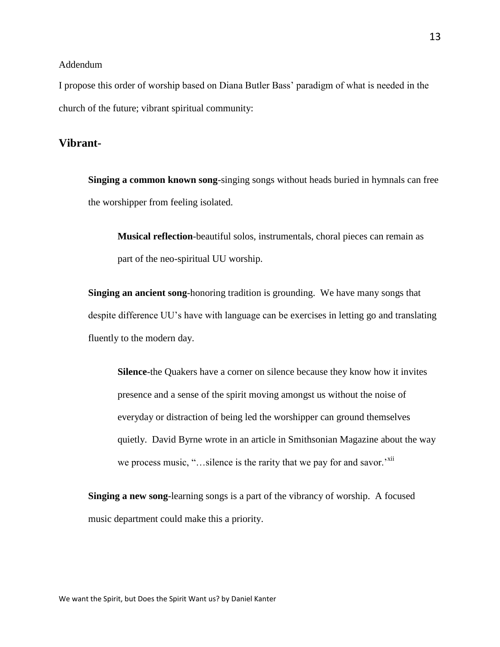### Addendum

I propose this order of worship based on Diana Butler Bass' paradigm of what is needed in the church of the future; vibrant spiritual community:

## **Vibrant-**

**Singing a common known song**-singing songs without heads buried in hymnals can free the worshipper from feeling isolated.

**Musical reflection**-beautiful solos, instrumentals, choral pieces can remain as part of the neo-spiritual UU worship.

**Singing an ancient song**-honoring tradition is grounding. We have many songs that despite difference UU's have with language can be exercises in letting go and translating fluently to the modern day.

**Silence**-the Quakers have a corner on silence because they know how it invites presence and a sense of the spirit moving amongst us without the noise of everyday or distraction of being led the worshipper can ground themselves quietly. David Byrne wrote in an article in Smithsonian Magazine about the way we process music, "...silence is the rarity that we pay for and savor.'<sup>xii</sup>

**Singing a new song**-learning songs is a part of the vibrancy of worship. A focused music department could make this a priority.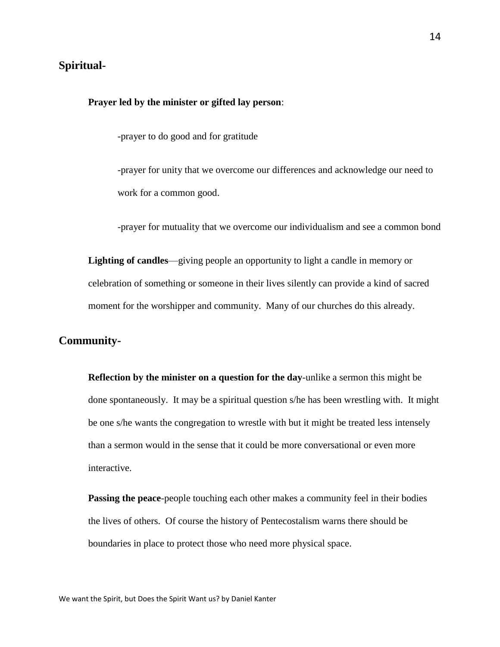## **Spiritual-**

#### **Prayer led by the minister or gifted lay person**:

-prayer to do good and for gratitude

-prayer for unity that we overcome our differences and acknowledge our need to work for a common good.

-prayer for mutuality that we overcome our individualism and see a common bond

**Lighting of candles**—giving people an opportunity to light a candle in memory or celebration of something or someone in their lives silently can provide a kind of sacred moment for the worshipper and community. Many of our churches do this already.

# **Community-**

**Reflection by the minister on a question for the day**-unlike a sermon this might be done spontaneously. It may be a spiritual question s/he has been wrestling with. It might be one s/he wants the congregation to wrestle with but it might be treated less intensely than a sermon would in the sense that it could be more conversational or even more interactive.

**Passing the peace**-people touching each other makes a community feel in their bodies the lives of others. Of course the history of Pentecostalism warns there should be boundaries in place to protect those who need more physical space.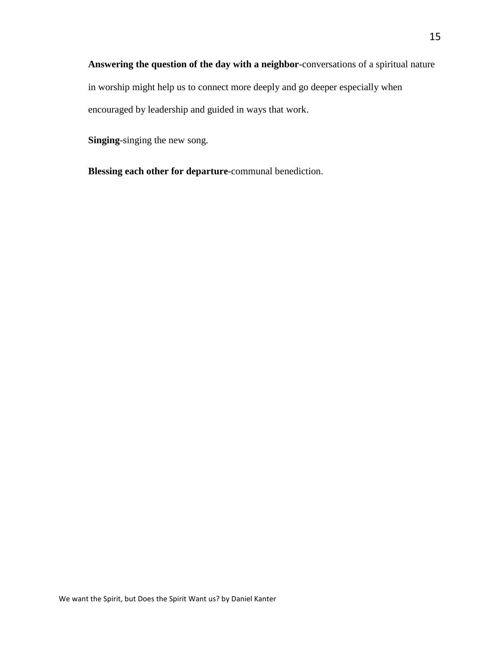**Answering the question of the day with a neighbor**-conversations of a spiritual nature in worship might help us to connect more deeply and go deeper especially when encouraged by leadership and guided in ways that work.

**Singing**-singing the new song.

**Blessing each other for departure**-communal benediction.